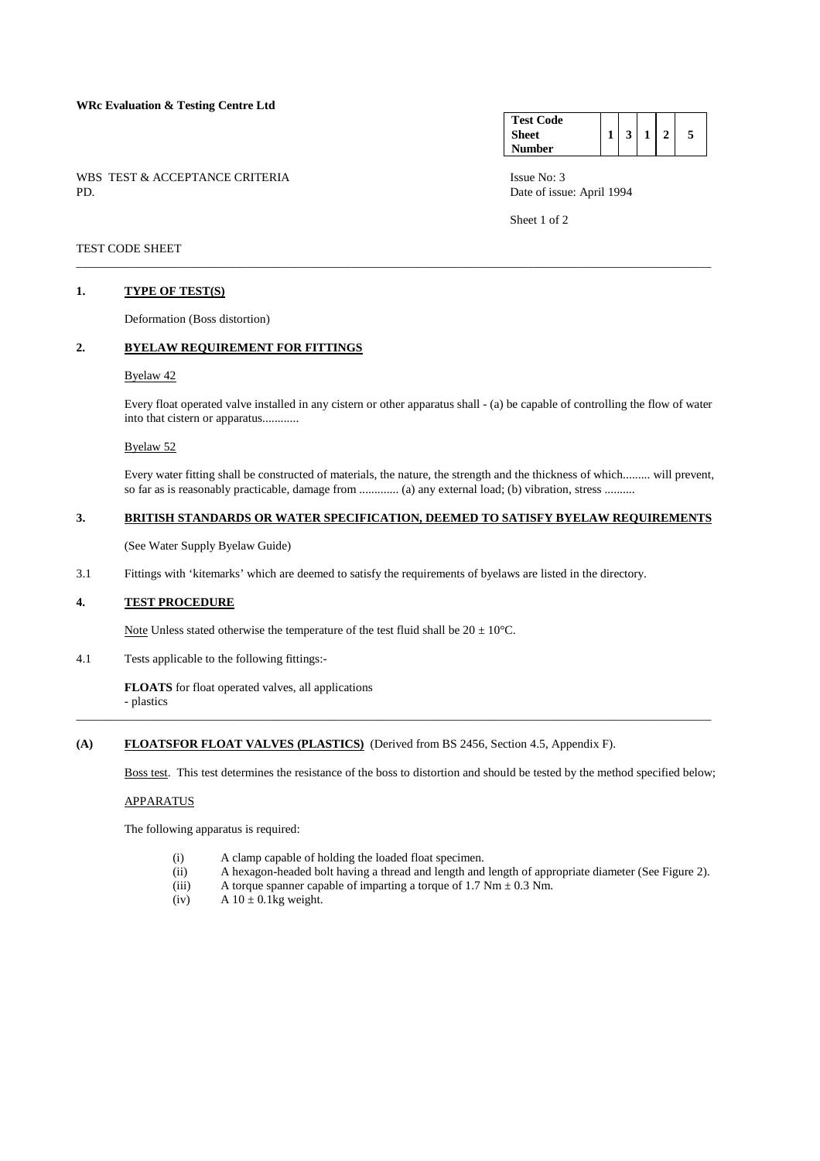#### **WRc Evaluation & Testing Centre Ltd**

WBS TEST & ACCEPTANCE CRITERIA ISSUE No: 3<br>PD Date of issue

#### **Test Code Sheet Number**   $1 \mid 3 \mid 1 \mid 2 \mid 5$

Date of issue: April 1994

Sheet 1 of 2

### TEST CODE SHEET

#### **1. TYPE OF TEST(S)**

Deformation (Boss distortion)

### **2. BYELAW REQUIREMENT FOR FITTINGS**

#### Byelaw 42

 Every float operated valve installed in any cistern or other apparatus shall - (a) be capable of controlling the flow of water into that cistern or apparatus............

\_\_\_\_\_\_\_\_\_\_\_\_\_\_\_\_\_\_\_\_\_\_\_\_\_\_\_\_\_\_\_\_\_\_\_\_\_\_\_\_\_\_\_\_\_\_\_\_\_\_\_\_\_\_\_\_\_\_\_\_\_\_\_\_\_\_\_\_\_\_\_\_\_\_\_\_\_\_\_\_\_\_\_\_\_\_\_\_\_\_\_\_\_\_\_\_\_\_\_\_\_\_\_\_

#### Byelaw 52

 Every water fitting shall be constructed of materials, the nature, the strength and the thickness of which......... will prevent, so far as is reasonably practicable, damage from ............. (a) any external load; (b) vibration, stress ..........

#### **3. BRITISH STANDARDS OR WATER SPECIFICATION, DEEMED TO SATISFY BYELAW REQUIREMENTS**

(See Water Supply Byelaw Guide)

3.1 Fittings with 'kitemarks' which are deemed to satisfy the requirements of byelaws are listed in the directory.

#### **4. TEST PROCEDURE**

Note Unless stated otherwise the temperature of the test fluid shall be  $20 \pm 10^{\circ}$ C.

4.1 Tests applicable to the following fittings:-

**FLOATS** for float operated valves, all applications - plastics

\_\_\_\_\_\_\_\_\_\_\_\_\_\_\_\_\_\_\_\_\_\_\_\_\_\_\_\_\_\_\_\_\_\_\_\_\_\_\_\_\_\_\_\_\_\_\_\_\_\_\_\_\_\_\_\_\_\_\_\_\_\_\_\_\_\_\_\_\_\_\_\_\_\_\_\_\_\_\_\_\_\_\_\_\_\_\_\_\_\_\_\_\_\_\_\_\_\_\_\_\_\_\_\_

### **(A) FLOATSFOR FLOAT VALVES (PLASTICS)** (Derived from BS 2456, Section 4.5, Appendix F).

Boss test. This test determines the resistance of the boss to distortion and should be tested by the method specified below;

### APPARATUS

The following apparatus is required:

- (i) A clamp capable of holding the loaded float specimen.
- (ii) A hexagon-headed bolt having a thread and length and length of appropriate diameter (See Figure 2).
- (iii) A torque spanner capable of imparting a torque of 1.7 Nm  $\pm$  0.3 Nm.
- (iv)  $A 10 \pm 0.1$ kg weight.